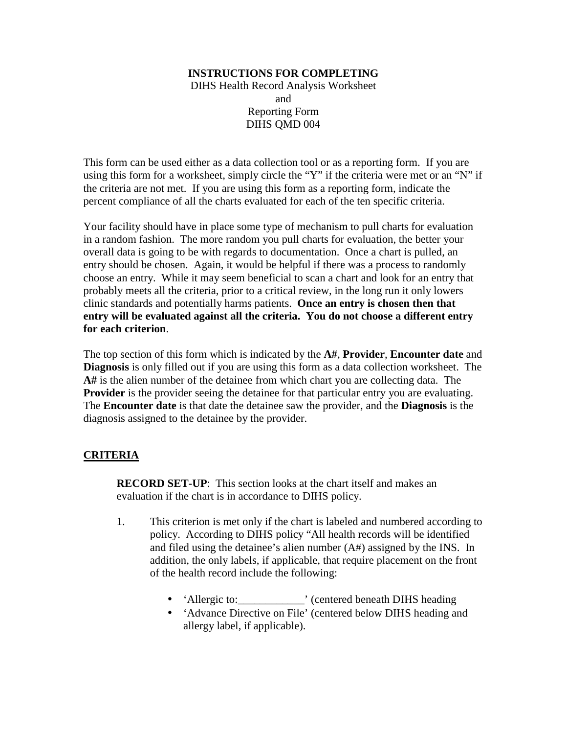## **INSTRUCTIONS FOR COMPLETING**  DIHS Health Record Analysis Worksheet and Reporting Form DIHS QMD 004

This form can be used either as a data collection tool or as a reporting form. If you are using this form for a worksheet, simply circle the "Y" if the criteria were met or an "N" if the criteria are not met. If you are using this form as a reporting form, indicate the percent compliance of all the charts evaluated for each of the ten specific criteria.

Your facility should have in place some type of mechanism to pull charts for evaluation in a random fashion. The more random you pull charts for evaluation, the better your overall data is going to be with regards to documentation. Once a chart is pulled, an entry should be chosen. Again, it would be helpful if there was a process to randomly choose an entry. While it may seem beneficial to scan a chart and look for an entry that probably meets all the criteria, prior to a critical review, in the long run it only lowers clinic standards and potentially harms patients. **Once an entry is chosen then that entry will be evaluated against all the criteria. You do not choose a different entry for each criterion**.

The top section of this form which is indicated by the **A#**, **Provider**, **Encounter date** and **Diagnosis** is only filled out if you are using this form as a data collection worksheet. The **A#** is the alien number of the detainee from which chart you are collecting data. The **Provider** is the provider seeing the detainee for that particular entry you are evaluating. The **Encounter date** is that date the detainee saw the provider, and the **Diagnosis** is the diagnosis assigned to the detainee by the provider.

## **CRITERIA**

**RECORD SET-UP**: This section looks at the chart itself and makes an evaluation if the chart is in accordance to DIHS policy.

- 1. This criterion is met only if the chart is labeled and numbered according to policy. According to DIHS policy "All health records will be identified and filed using the detainee's alien number (A#) assigned by the INS. In addition, the only labels, if applicable, that require placement on the front of the health record include the following:
	- 'Allergic to: (centered beneath DIHS heading
	- 'Advance Directive on File' (centered below DIHS heading and allergy label, if applicable).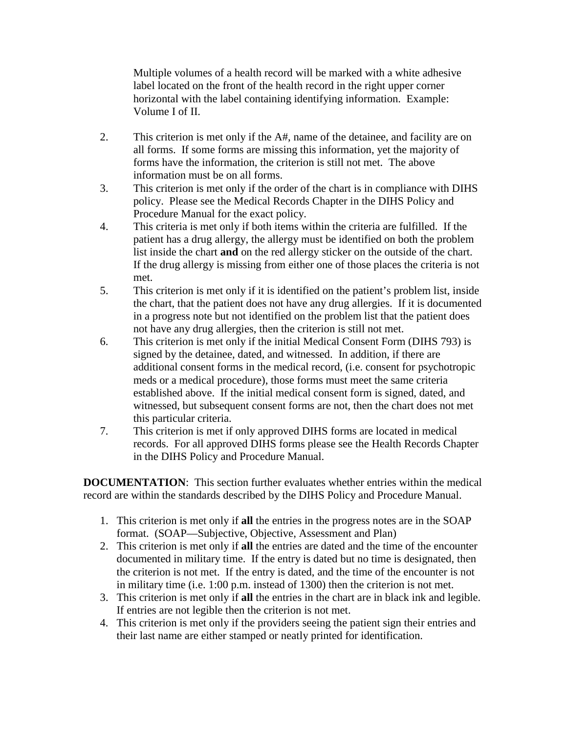Multiple volumes of a health record will be marked with a white adhesive label located on the front of the health record in the right upper corner horizontal with the label containing identifying information. Example: Volume I of II.

- 2. This criterion is met only if the A#, name of the detainee, and facility are on all forms. If some forms are missing this information, yet the majority of forms have the information, the criterion is still not met. The above information must be on all forms.
- 3. This criterion is met only if the order of the chart is in compliance with DIHS policy. Please see the Medical Records Chapter in the DIHS Policy and Procedure Manual for the exact policy.
- 4. This criteria is met only if both items within the criteria are fulfilled. If the patient has a drug allergy, the allergy must be identified on both the problem list inside the chart **and** on the red allergy sticker on the outside of the chart. If the drug allergy is missing from either one of those places the criteria is not met.
- 5. This criterion is met only if it is identified on the patient's problem list, inside the chart, that the patient does not have any drug allergies. If it is documented in a progress note but not identified on the problem list that the patient does not have any drug allergies, then the criterion is still not met.
- 6. This criterion is met only if the initial Medical Consent Form (DIHS 793) is signed by the detainee, dated, and witnessed. In addition, if there are additional consent forms in the medical record, (i.e. consent for psychotropic meds or a medical procedure), those forms must meet the same criteria established above. If the initial medical consent form is signed, dated, and witnessed, but subsequent consent forms are not, then the chart does not met this particular criteria.
- 7. This criterion is met if only approved DIHS forms are located in medical records. For all approved DIHS forms please see the Health Records Chapter in the DIHS Policy and Procedure Manual.

**DOCUMENTATION**: This section further evaluates whether entries within the medical record are within the standards described by the DIHS Policy and Procedure Manual.

- 1. This criterion is met only if **all** the entries in the progress notes are in the SOAP format. (SOAP—Subjective, Objective, Assessment and Plan)
- 2. This criterion is met only if **all** the entries are dated and the time of the encounter documented in military time. If the entry is dated but no time is designated, then the criterion is not met. If the entry is dated, and the time of the encounter is not in military time (i.e. 1:00 p.m. instead of 1300) then the criterion is not met.
- 3. This criterion is met only if **all** the entries in the chart are in black ink and legible. If entries are not legible then the criterion is not met.
- 4. This criterion is met only if the providers seeing the patient sign their entries and their last name are either stamped or neatly printed for identification.